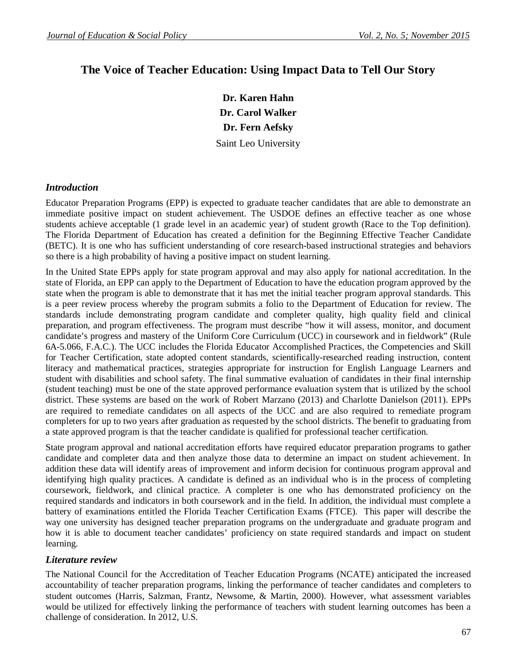# **The Voice of Teacher Education: Using Impact Data to Tell Our Story**

**Dr. Karen Hahn Dr. Carol Walker Dr. Fern Aefsky** Saint Leo University

### *Introduction*

Educator Preparation Programs (EPP) is expected to graduate teacher candidates that are able to demonstrate an immediate positive impact on student achievement. The USDOE defines an effective teacher as one whose students achieve acceptable (1 grade level in an academic year) of student growth (Race to the Top definition). The Florida Department of Education has created a definition for the Beginning Effective Teacher Candidate (BETC). It is one who has sufficient understanding of core research-based instructional strategies and behaviors so there is a high probability of having a positive impact on student learning.

In the United State EPPs apply for state program approval and may also apply for national accreditation. In the state of Florida, an EPP can apply to the Department of Education to have the education program approved by the state when the program is able to demonstrate that it has met the initial teacher program approval standards. This is a peer review process whereby the program submits a folio to the Department of Education for review. The standards include demonstrating program candidate and completer quality, high quality field and clinical preparation, and program effectiveness. The program must describe "how it will assess, monitor, and document candidate's progress and mastery of the Uniform Core Curriculum (UCC) in coursework and in fieldwork" (Rule 6A-5.066, F.A.C.). The UCC includes the Florida Educator Accomplished Practices, the Competencies and Skill for Teacher Certification, state adopted content standards, scientifically-researched reading instruction, content literacy and mathematical practices, strategies appropriate for instruction for English Language Learners and student with disabilities and school safety. The final summative evaluation of candidates in their final internship (student teaching) must be one of the state approved performance evaluation system that is utilized by the school district. These systems are based on the work of Robert Marzano (2013) and Charlotte Danielson (2011). EPPs are required to remediate candidates on all aspects of the UCC and are also required to remediate program completers for up to two years after graduation as requested by the school districts. The benefit to graduating from a state approved program is that the teacher candidate is qualified for professional teacher certification.

State program approval and national accreditation efforts have required educator preparation programs to gather candidate and completer data and then analyze those data to determine an impact on student achievement. In addition these data will identify areas of improvement and inform decision for continuous program approval and identifying high quality practices. A candidate is defined as an individual who is in the process of completing coursework, fieldwork, and clinical practice. A completer is one who has demonstrated proficiency on the required standards and indicators in both coursework and in the field. In addition, the individual must complete a battery of examinations entitled the Florida Teacher Certification Exams (FTCE). This paper will describe the way one university has designed teacher preparation programs on the undergraduate and graduate program and how it is able to document teacher candidates' proficiency on state required standards and impact on student learning.

### *Literature review*

The National Council for the Accreditation of Teacher Education Programs (NCATE) anticipated the increased accountability of teacher preparation programs, linking the performance of teacher candidates and completers to student outcomes (Harris, Salzman, Frantz, Newsome, & Martin, 2000). However, what assessment variables would be utilized for effectively linking the performance of teachers with student learning outcomes has been a challenge of consideration. In 2012, U.S.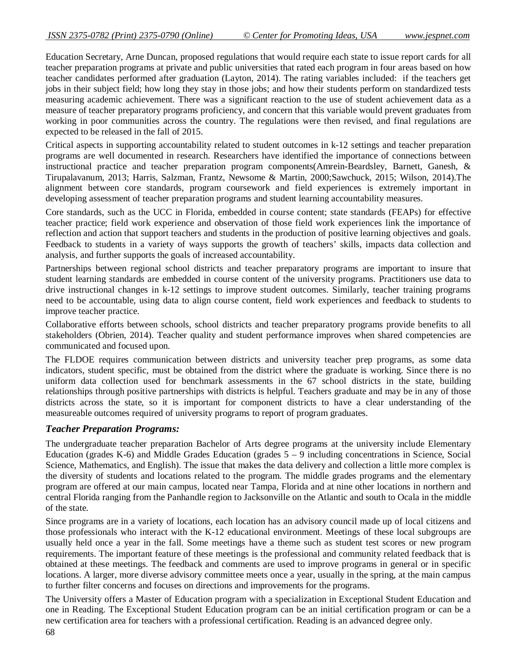Education Secretary, Arne Duncan, proposed regulations that would require each state to issue report cards for all teacher preparation programs at private and public universities that rated each program in four areas based on how teacher candidates performed after graduation (Layton, 2014). The rating variables included: if the teachers get jobs in their subject field; how long they stay in those jobs; and how their students perform on standardized tests measuring academic achievement. There was a significant reaction to the use of student achievement data as a measure of teacher preparatory programs proficiency, and concern that this variable would prevent graduates from working in poor communities across the country. The regulations were then revised, and final regulations are expected to be released in the fall of 2015.

Critical aspects in supporting accountability related to student outcomes in k-12 settings and teacher preparation programs are well documented in research. Researchers have identified the importance of connections between instructional practice and teacher preparation program components(Amrein-Beardsley, Barnett, Ganesh, & Tirupalavanum, 2013; Harris, Salzman, Frantz, Newsome & Martin, 2000;Sawchuck, 2015; Wilson, 2014).The alignment between core standards, program coursework and field experiences is extremely important in developing assessment of teacher preparation programs and student learning accountability measures.

Core standards, such as the UCC in Florida, embedded in course content; state standards (FEAPs) for effective teacher practice; field work experience and observation of those field work experiences link the importance of reflection and action that support teachers and students in the production of positive learning objectives and goals. Feedback to students in a variety of ways supports the growth of teachers' skills, impacts data collection and analysis, and further supports the goals of increased accountability.

Partnerships between regional school districts and teacher preparatory programs are important to insure that student learning standards are embedded in course content of the university programs. Practitioners use data to drive instructional changes in k-12 settings to improve student outcomes. Similarly, teacher training programs need to be accountable, using data to align course content, field work experiences and feedback to students to improve teacher practice.

Collaborative efforts between schools, school districts and teacher preparatory programs provide benefits to all stakeholders (Obrien, 2014). Teacher quality and student performance improves when shared competencies are communicated and focused upon.

The FLDOE requires communication between districts and university teacher prep programs, as some data indicators, student specific, must be obtained from the district where the graduate is working. Since there is no uniform data collection used for benchmark assessments in the 67 school districts in the state, building relationships through positive partnerships with districts is helpful. Teachers graduate and may be in any of those districts across the state, so it is important for component districts to have a clear understanding of the measureable outcomes required of university programs to report of program graduates.

### *Teacher Preparation Programs:*

The undergraduate teacher preparation Bachelor of Arts degree programs at the university include Elementary Education (grades K-6) and Middle Grades Education (grades  $5 - 9$  including concentrations in Science, Social Science, Mathematics, and English). The issue that makes the data delivery and collection a little more complex is the diversity of students and locations related to the program. The middle grades programs and the elementary program are offered at our main campus, located near Tampa, Florida and at nine other locations in northern and central Florida ranging from the Panhandle region to Jacksonville on the Atlantic and south to Ocala in the middle of the state.

Since programs are in a variety of locations, each location has an advisory council made up of local citizens and those professionals who interact with the K-12 educational environment. Meetings of these local subgroups are usually held once a year in the fall. Some meetings have a theme such as student test scores or new program requirements. The important feature of these meetings is the professional and community related feedback that is obtained at these meetings. The feedback and comments are used to improve programs in general or in specific locations. A larger, more diverse advisory committee meets once a year, usually in the spring, at the main campus to further filter concerns and focuses on directions and improvements for the programs.

The University offers a Master of Education program with a specialization in Exceptional Student Education and one in Reading. The Exceptional Student Education program can be an initial certification program or can be a new certification area for teachers with a professional certification. Reading is an advanced degree only.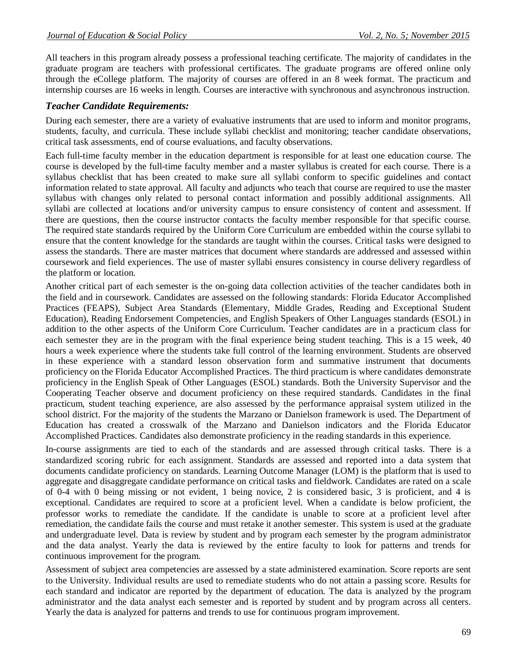All teachers in this program already possess a professional teaching certificate. The majority of candidates in the graduate program are teachers with professional certificates. The graduate programs are offered online only through the eCollege platform. The majority of courses are offered in an 8 week format. The practicum and internship courses are 16 weeks in length. Courses are interactive with synchronous and asynchronous instruction.

### *Teacher Candidate Requirements:*

During each semester, there are a variety of evaluative instruments that are used to inform and monitor programs, students, faculty, and curricula. These include syllabi checklist and monitoring; teacher candidate observations, critical task assessments, end of course evaluations, and faculty observations.

Each full-time faculty member in the education department is responsible for at least one education course. The course is developed by the full-time faculty member and a master syllabus is created for each course. There is a syllabus checklist that has been created to make sure all syllabi conform to specific guidelines and contact information related to state approval. All faculty and adjuncts who teach that course are required to use the master syllabus with changes only related to personal contact information and possibly additional assignments. All syllabi are collected at locations and/or university campus to ensure consistency of content and assessment. If there are questions, then the course instructor contacts the faculty member responsible for that specific course. The required state standards required by the Uniform Core Curriculum are embedded within the course syllabi to ensure that the content knowledge for the standards are taught within the courses. Critical tasks were designed to assess the standards. There are master matrices that document where standards are addressed and assessed within coursework and field experiences. The use of master syllabi ensures consistency in course delivery regardless of the platform or location.

Another critical part of each semester is the on-going data collection activities of the teacher candidates both in the field and in coursework. Candidates are assessed on the following standards: Florida Educator Accomplished Practices (FEAPS), Subject Area Standards (Elementary, Middle Grades, Reading and Exceptional Student Education), Reading Endorsement Competencies, and English Speakers of Other Languages standards (ESOL) in addition to the other aspects of the Uniform Core Curriculum. Teacher candidates are in a practicum class for each semester they are in the program with the final experience being student teaching. This is a 15 week, 40 hours a week experience where the students take full control of the learning environment. Students are observed in these experience with a standard lesson observation form and summative instrument that documents proficiency on the Florida Educator Accomplished Practices. The third practicum is where candidates demonstrate proficiency in the English Speak of Other Languages (ESOL) standards. Both the University Supervisor and the Cooperating Teacher observe and document proficiency on these required standards. Candidates in the final practicum, student teaching experience, are also assessed by the performance appraisal system utilized in the school district. For the majority of the students the Marzano or Danielson framework is used. The Department of Education has created a crosswalk of the Marzano and Danielson indicators and the Florida Educator Accomplished Practices. Candidates also demonstrate proficiency in the reading standards in this experience.

In-course assignments are tied to each of the standards and are assessed through critical tasks. There is a standardized scoring rubric for each assignment. Standards are assessed and reported into a data system that documents candidate proficiency on standards. Learning Outcome Manager (LOM) is the platform that is used to aggregate and disaggregate candidate performance on critical tasks and fieldwork. Candidates are rated on a scale of 0-4 with 0 being missing or not evident, 1 being novice, 2 is considered basic, 3 is proficient, and 4 is exceptional. Candidates are required to score at a proficient level. When a candidate is below proficient, the professor works to remediate the candidate. If the candidate is unable to score at a proficient level after remediation, the candidate fails the course and must retake it another semester. This system is used at the graduate and undergraduate level. Data is review by student and by program each semester by the program administrator and the data analyst. Yearly the data is reviewed by the entire faculty to look for patterns and trends for continuous improvement for the program.

Assessment of subject area competencies are assessed by a state administered examination. Score reports are sent to the University. Individual results are used to remediate students who do not attain a passing score. Results for each standard and indicator are reported by the department of education. The data is analyzed by the program administrator and the data analyst each semester and is reported by student and by program across all centers. Yearly the data is analyzed for patterns and trends to use for continuous program improvement.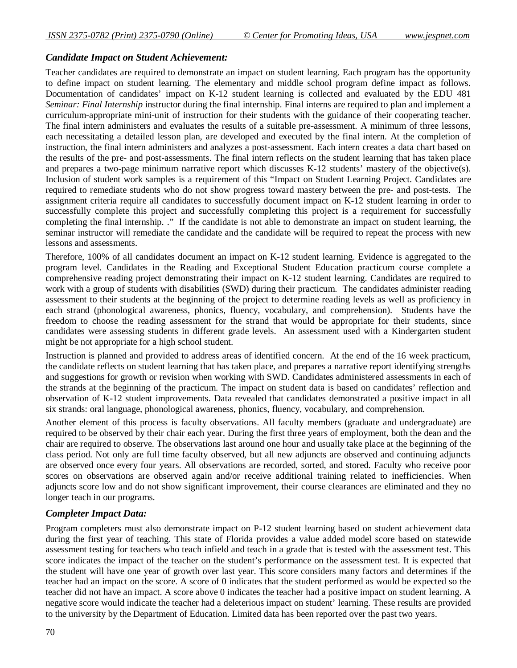### *Candidate Impact on Student Achievement:*

Teacher candidates are required to demonstrate an impact on student learning. Each program has the opportunity to define impact on student learning. The elementary and middle school program define impact as follows. Documentation of candidates' impact on K-12 student learning is collected and evaluated by the EDU 481 *Seminar: Final Internship* instructor during the final internship. Final interns are required to plan and implement a curriculum-appropriate mini-unit of instruction for their students with the guidance of their cooperating teacher. The final intern administers and evaluates the results of a suitable pre-assessment. A minimum of three lessons, each necessitating a detailed lesson plan, are developed and executed by the final intern. At the completion of instruction, the final intern administers and analyzes a post-assessment. Each intern creates a data chart based on the results of the pre- and post-assessments. The final intern reflects on the student learning that has taken place and prepares a two-page minimum narrative report which discusses K-12 students' mastery of the objective(s). Inclusion of student work samples is a requirement of this "Impact on Student Learning Project. Candidates are required to remediate students who do not show progress toward mastery between the pre- and post-tests. The assignment criteria require all candidates to successfully document impact on K-12 student learning in order to successfully complete this project and successfully completing this project is a requirement for successfully completing the final internship. ." If the candidate is not able to demonstrate an impact on student learning, the seminar instructor will remediate the candidate and the candidate will be required to repeat the process with new lessons and assessments.

Therefore, 100% of all candidates document an impact on K-12 student learning. Evidence is aggregated to the program level. Candidates in the Reading and Exceptional Student Education practicum course complete a comprehensive reading project demonstrating their impact on K-12 student learning. Candidates are required to work with a group of students with disabilities (SWD) during their practicum. The candidates administer reading assessment to their students at the beginning of the project to determine reading levels as well as proficiency in each strand (phonological awareness, phonics, fluency, vocabulary, and comprehension). Students have the freedom to choose the reading assessment for the strand that would be appropriate for their students, since candidates were assessing students in different grade levels. An assessment used with a Kindergarten student might be not appropriate for a high school student.

Instruction is planned and provided to address areas of identified concern. At the end of the 16 week practicum, the candidate reflects on student learning that has taken place, and prepares a narrative report identifying strengths and suggestions for growth or revision when working with SWD. Candidates administered assessments in each of the strands at the beginning of the practicum. The impact on student data is based on candidates' reflection and observation of K-12 student improvements. Data revealed that candidates demonstrated a positive impact in all six strands: oral language, phonological awareness, phonics, fluency, vocabulary, and comprehension.

Another element of this process is faculty observations. All faculty members (graduate and undergraduate) are required to be observed by their chair each year. During the first three years of employment, both the dean and the chair are required to observe. The observations last around one hour and usually take place at the beginning of the class period. Not only are full time faculty observed, but all new adjuncts are observed and continuing adjuncts are observed once every four years. All observations are recorded, sorted, and stored. Faculty who receive poor scores on observations are observed again and/or receive additional training related to inefficiencies. When adjuncts score low and do not show significant improvement, their course clearances are eliminated and they no longer teach in our programs.

### *Completer Impact Data:*

Program completers must also demonstrate impact on P-12 student learning based on student achievement data during the first year of teaching. This state of Florida provides a value added model score based on statewide assessment testing for teachers who teach infield and teach in a grade that is tested with the assessment test. This score indicates the impact of the teacher on the student's performance on the assessment test. It is expected that the student will have one year of growth over last year. This score considers many factors and determines if the teacher had an impact on the score. A score of 0 indicates that the student performed as would be expected so the teacher did not have an impact. A score above 0 indicates the teacher had a positive impact on student learning. A negative score would indicate the teacher had a deleterious impact on student' learning. These results are provided to the university by the Department of Education. Limited data has been reported over the past two years.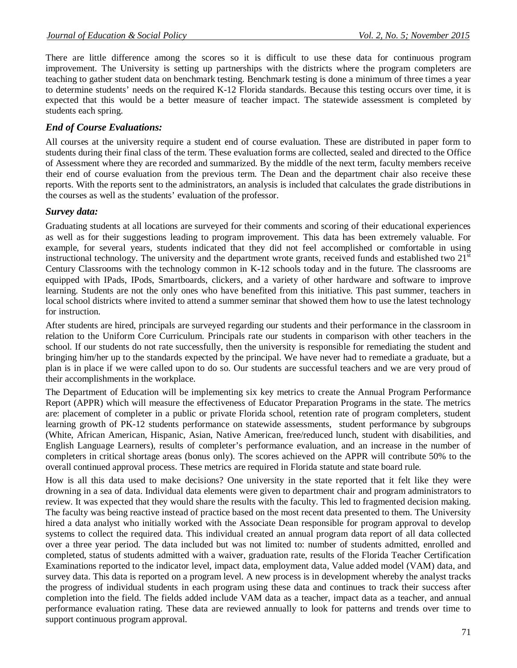There are little difference among the scores so it is difficult to use these data for continuous program improvement. The University is setting up partnerships with the districts where the program completers are teaching to gather student data on benchmark testing. Benchmark testing is done a minimum of three times a year to determine students' needs on the required K-12 Florida standards. Because this testing occurs over time, it is expected that this would be a better measure of teacher impact. The statewide assessment is completed by students each spring.

## *End of Course Evaluations:*

All courses at the university require a student end of course evaluation. These are distributed in paper form to students during their final class of the term. These evaluation forms are collected, sealed and directed to the Office of Assessment where they are recorded and summarized. By the middle of the next term, faculty members receive their end of course evaluation from the previous term. The Dean and the department chair also receive these reports. With the reports sent to the administrators, an analysis is included that calculates the grade distributions in the courses as well as the students' evaluation of the professor.

### *Survey data:*

Graduating students at all locations are surveyed for their comments and scoring of their educational experiences as well as for their suggestions leading to program improvement. This data has been extremely valuable. For example, for several years, students indicated that they did not feel accomplished or comfortable in using instructional technology. The university and the department wrote grants, received funds and established two 21<sup>st</sup> Century Classrooms with the technology common in K-12 schools today and in the future. The classrooms are equipped with IPads, IPods, Smartboards, clickers, and a variety of other hardware and software to improve learning. Students are not the only ones who have benefited from this initiative. This past summer, teachers in local school districts where invited to attend a summer seminar that showed them how to use the latest technology for instruction.

After students are hired, principals are surveyed regarding our students and their performance in the classroom in relation to the Uniform Core Curriculum. Principals rate our students in comparison with other teachers in the school. If our students do not rate successfully, then the university is responsible for remediating the student and bringing him/her up to the standards expected by the principal. We have never had to remediate a graduate, but a plan is in place if we were called upon to do so. Our students are successful teachers and we are very proud of their accomplishments in the workplace.

The Department of Education will be implementing six key metrics to create the Annual Program Performance Report (APPR) which will measure the effectiveness of Educator Preparation Programs in the state. The metrics are: placement of completer in a public or private Florida school, retention rate of program completers, student learning growth of PK-12 students performance on statewide assessments, student performance by subgroups (White, African American, Hispanic, Asian, Native American, free/reduced lunch, student with disabilities, and English Language Learners), results of completer's performance evaluation, and an increase in the number of completers in critical shortage areas (bonus only). The scores achieved on the APPR will contribute 50% to the overall continued approval process. These metrics are required in Florida statute and state board rule.

How is all this data used to make decisions? One university in the state reported that it felt like they were drowning in a sea of data. Individual data elements were given to department chair and program administrators to review. It was expected that they would share the results with the faculty. This led to fragmented decision making. The faculty was being reactive instead of practice based on the most recent data presented to them. The University hired a data analyst who initially worked with the Associate Dean responsible for program approval to develop systems to collect the required data. This individual created an annual program data report of all data collected over a three year period. The data included but was not limited to: number of students admitted, enrolled and completed, status of students admitted with a waiver, graduation rate, results of the Florida Teacher Certification Examinations reported to the indicator level, impact data, employment data, Value added model (VAM) data, and survey data. This data is reported on a program level. A new process is in development whereby the analyst tracks the progress of individual students in each program using these data and continues to track their success after completion into the field. The fields added include VAM data as a teacher, impact data as a teacher, and annual performance evaluation rating. These data are reviewed annually to look for patterns and trends over time to support continuous program approval.